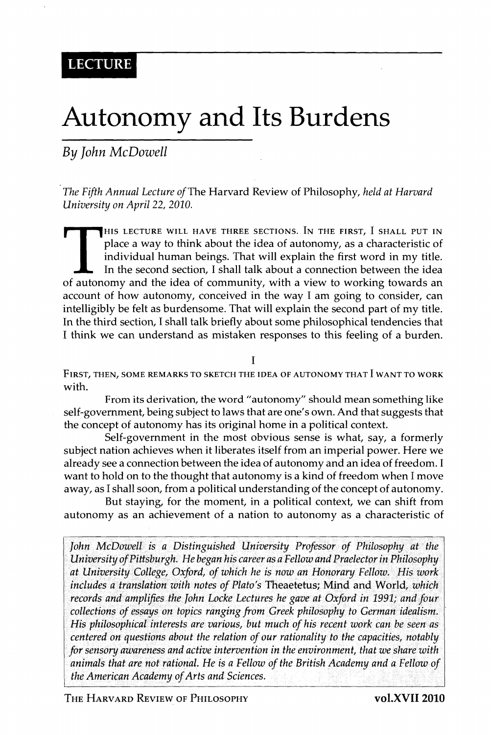## Autonomy and Its Burdens

*By John McDowell* 

*The Fifth Annual Lecture of The* Harvard Review of Philosophy, *held at Harvard University on April 22, 2010.* 

HIS LECTURE WILL HAVE THREE SECTIONS. IN THE FIRST, I SHALL PUT IN place a way to think about the idea of autonomy, as a characteristic of individual human beings. That will explain the first word in my title. In the secon HIS LECTURE WILL HAVE THREE SECTIONS. IN THE FIRST, I SHALL PUT IN place a way to think about the idea of autonomy, as a characteristic of individual human beings. That will explain the first word in my title. In the second section, I shall talk about a connection between the idea account of how autonomy, conceived in the way I am going to consider, can intelligibly be felt as burdensome. That will explain the second part of my title. In the third section, I shall talk briefly about some philosophical tendencies that I think we can understand as mistaken responses to this feeling of a burden.

I

FIRST, THEN, SOME REMARKS TO SKETCH THE IDEA OF AUTONOMY THAT I WANT TO WORK with.

From its derivation, the word "autonomy'' should mean something like self-government, being subject to laws that are one's own. And that suggests that the concept of autonomy has its original home in a political context.

Self-government in the most obvious sense is what, say, a formerly subject nation achieves when it liberates itself from an imperial power. Here we already see a connection between the idea of autonomy and an idea of freedom. I want to hold on to the thought that autonomy is a kind of freedom when I move away, as I shall soon, from a political understanding of the concept of autonomy.

But staying, for the moment, in a political context, we can shift from autonomy as an achievement of a nation to autonomy as a characteristic of

*John McDowell is a Distinguished University Professor of Philosophy at the University of Pittsburgh. He began his career as a Fellow and Praelector in Philosophy at University College, Oxford, of which he is now an Honorary Fellow. His work includes a translation with notes of Plato's* Theaetetus; Mind and World, *which records and amplifies the John Locke Lectures he gave at Oxford in 1991; and four collections of essays on topics ranging from Greek philosophy to German idealism. His philosophical interests are various, but much of his recent work can he seen as centered on questions about the relation of our rationality to the capacities, notably for sensory awareness and active intervention in the environment, that we share with animals that are not rational. He is a Fellow of the British Academy and a Fellow of the American Academy of Arts and Sciences.* 

T HE HARVARD REVIEW OF PHILOSOPHY **voLXVII 2010**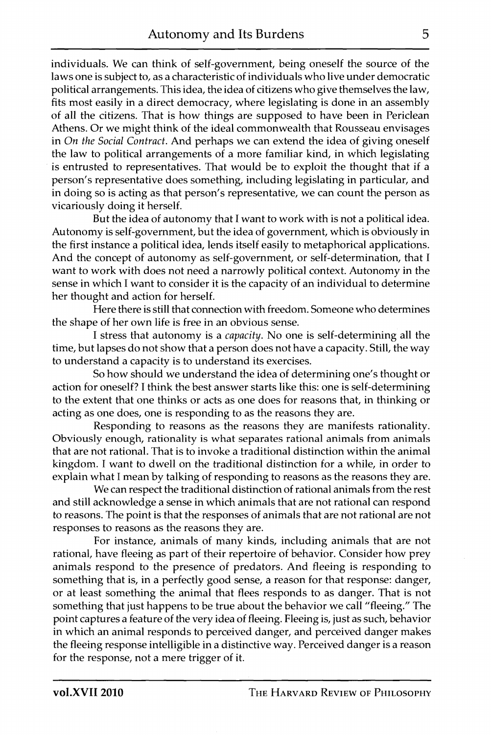individuals. We can think of self-government, being oneself the source of the laws one is subject to, as a characteristic of individuals who live under democratic political arrangements. This idea, the idea of citizens who give themselves the law, fits most easily in a direct democracy, where legislating is done in an assembly of all the citizens. That is how things are supposed to have been in Periclean Athens. Or we might think of the ideal commonwealth that Rousseau envisages in *On the Social Contract.* And perhaps we can extend the idea of giving oneself the law to political arrangements of a more familiar kind, in which legislating is entrusted to representatives. That would be to exploit the thought that if a person's representative does something, including legislating in particular, and in doing so is acting as that person's representative, we can count the person as vicariously doing it herself.

But the idea of autonomy that I want to work with is not a political idea. Autonomy is self-government, but the idea of government, which is obviously in the first instance a political idea, lends itself easily to metaphorical applications. And the concept of autonomy as self-government, or self-determination, that I want to work with does not need a narrowly political context. Autonomy in the sense in which I want to consider it is the capacity of an individual to determine her thought and action for herself.

Here there is still that connection with freedom. Someone who determines the shape of her own life is free in an obvious sense.

I stress that autonomy is a *capacity.* No one is self-determining all the time, but lapses do not show that a person does not have a capacity. Still, the way to understand a capacity is to understand its exercises.

So how should we understand the idea of determining one's thought or action for oneself? I think the best answer starts like this: one is self-determining to the extent that one thinks or acts as one does for reasons that, in thinking or acting as one does, one is responding to as the reasons they are.

Responding to reasons as the reasons they are manifests rationality. Obviously enough, rationality is what separates rational animals from animals that are not rational. That is to invoke a traditional distinction within the animal kingdom. I want to dwell on the traditional distinction for a while, in order to explain what I mean by talking of responding to reasons as the reasons they are.

We can respect the traditional distinction of rational animals from the rest and still acknowledge a sense in which animals that are not rational can respond to reasons. The point is that the responses of animals that are not rational are not responses to reasons as the reasons they are.

For instance, animals of many kinds, including animals that are not rational, have fleeing as part of their repertoire of behavior. Consider how prey animals respond to the presence of predators. And fleeing is responding to something that is, in a perfectly good sense, a reason for that response: danger, or at least something the animal that flees responds to as danger. That is not something that just happens to be true about the behavior we call "fleeing." The point captures a feature of the very idea of fleeing. Fleeing is, just as such, behavior in which an animal responds to perceived danger, and perceived danger makes the fleeing response intelligible in a distinctive way. Perceived danger is a reason for the response, not a mere trigger of it.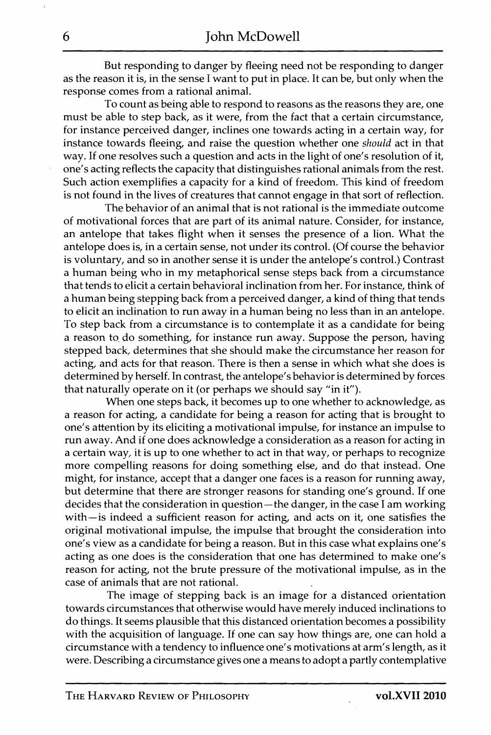But responding to danger by fleeing need not be responding to danger as the reason it is, in the sense I want to put in place. It can be, but only when the response comes from a rational animal.

To count as being able to respond to reasons as the reasons they are, one must be able to step back, as it were, from the fact that a certain circumstance, for instance perceived danger, inclines one towards acting in a certain way, for instance towards fleeing, and raise the question whether one *should* act in that way. If one resolves such a question and acts in the light of one's resolution of it, one's acting reflects the capacity that distinguishes rational animals from the rest. Such action exemplifies a capacity for a kind of freedom. This kind of freedom is not found in the lives of creatures that cannot engage in that sort of reflection.

The behavior of an animal that is not rational is the immediate outcome of motivational forces that are part of its animal nature. Consider, for instance, an antelope that takes flight when it senses the presence of a lion. What the antelope does is, in a certain sense, not under its control. (Of course the behavior is voluntary, and so in another sense it is under the antelope's control.) Contrast a human being who in my metaphorical sense steps back from a circumstance that tends to elicit a certain behavioral inclination from her. For instance, think of a human being stepping back from a perceived danger, a kind of thing that tends to elicit an inclination to run away in a human being no less than in an antelope. To step back from a circumstance is to contemplate it as a candidate for being a reason to, do something, for instance run away. Suppose the person, having stepped back, determines that she should make the circumstance her reason for acting, and acts for that reason. There is then a sense in which what she does is determined by herself. In contrast, the antelope's behavior is determined by forces that naturally operate on it (or perhaps we should say "in it").

When one steps back, it becomes up to one whether to acknowledge, as a reason for acting, a candidate for being a reason for acting that is brought to one's attention by its eliciting a motivational impulse, for instance an impulse to run away. And if one does acknowledge a consideration as a reason for acting in a certain way, it is up to one whether to act in that way, or perhaps to recognize more compelling reasons for doing something else, and do that instead. One might, for instance, accept that a danger one faces is a reason for running away, but determine that there are stronger reasons for standing one's ground. If one decides that the consideration in question—the danger, in the case I am working with—is indeed a sufficient reason for acting, and acts on it, one satisfies the original motivational impulse, the impulse that brought the consideration into one's view as a candidate for being a reason. But in this case what explains one's acting as one does is the consideration that one has determined to make one's reason for acting, not the brute pressure of the motivational impulse, as in the case of animals that are not rational.

The image of stepping back is an image for a distanced orientation towards circumstances that otherwise would have merely induced inclinations to do things. It seems plausible that this distanced orientation becomes a possibility with the acquisition of language. If one can say how things are, one can hold a circumstance with a tendency to influence one's motivations at arm's length, as it were. Describing a circumstance gives one a means to adopt a partly contemplative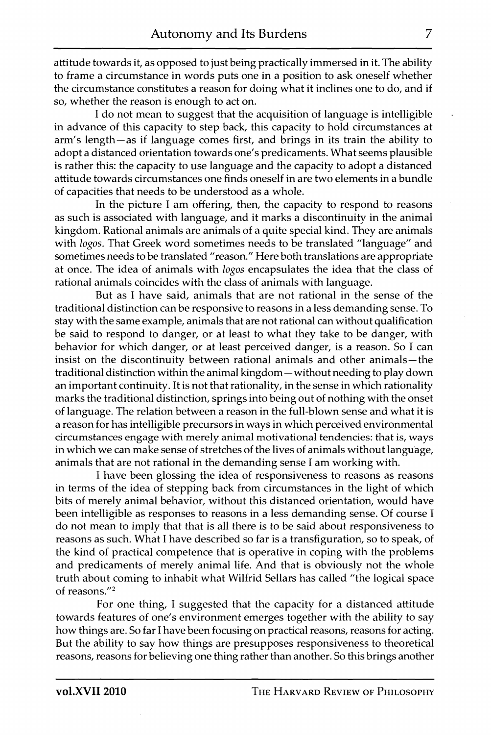attitude towards it, as opposed to just being practically immersed in it. The ability to frame a circumstance in words puts one in a position to ask oneself whether the circumstance constitutes a reason for doing what it inclines one to do, and if so, whether the reason is enough to act on.

I do not mean to suggest that the acquisition of language is intelligible in advance of this capacity to step back, this capacity to hold circumstances at arm's length—as if language comes first, and brings in its train the ability to adopt a distanced orientation towards one's predicaments. What seems plausible is rather this: the capacity to use language and the capacity to adopt a distanced attitude towards circumstances one finds oneself in are two elements in a bundle of capacities that needs to be understood as a whole.

In the picture I am offering, then, the capacity to respond to reasons as such is associated with language, and it marks a discontinuity in the animal kingdom. Rational animals are animals of a quite special kind. They are animals with *logos.* That Greek word sometimes needs to be translated "language" and sometimes needs to be translated "reason." Here both translations are appropriate at once. The idea of animals with *logos* encapsulates the idea that the class of rational animals coincides with the class of animals with language.

But as I have said, animals that are not rational in the sense of the traditional distinction can be responsive to reasons in a less demanding sense. To stay with the same example, animals that are not rational can without qualification be said to respond to danger, or at least to what they take to be danger, with behavior for which danger, or at least perceived danger, is a reason. So I can insist on the discontinuity between rational animals and other animals—the traditional distinction within the animal kingdom—without needing to play down an important continuity. It is not that rationality, in the sense in which rationality marks the traditional distinction, springs into being out of nothing with the onset of language. The relation between a reason in the full-blown sense and what it is a reason for has intelligible precursors in ways in which perceived environmental circumstances engage with merely animal motivational tendencies: that is, ways in which we can make sense of stretches of the lives of animals without language, animals that are not rational in the demanding sense I am working with.

I have been glossing the idea of responsiveness to reasons as reasons in terms of the idea of stepping back from circumstances in the light of which bits of merely animal behavior, without this distanced orientation, would have been intelligible as responses to reasons in a less demanding sense. Of course I do not mean to imply that that is all there is to be said about responsiveness to reasons as such. What I have described so far is a transfiguration, so to speak, of the kind of practical competence that is operative in coping with the problems and predicaments of merely animal life. And that is obviously not the whole truth about coming to inhabit what Wilfrid Sellars has called "the logical space of reasons. $^{\prime\prime}{}^{2}$ 

For one thing, I suggested that the capacity for a distanced attitude towards features of one's environment emerges together with the ability to say how things are. So far I have been focusing on practical reasons, reasons for acting. But the ability to say how things are presupposes responsiveness to theoretical reasons, reasons for believing one thing rather than another. So this brings another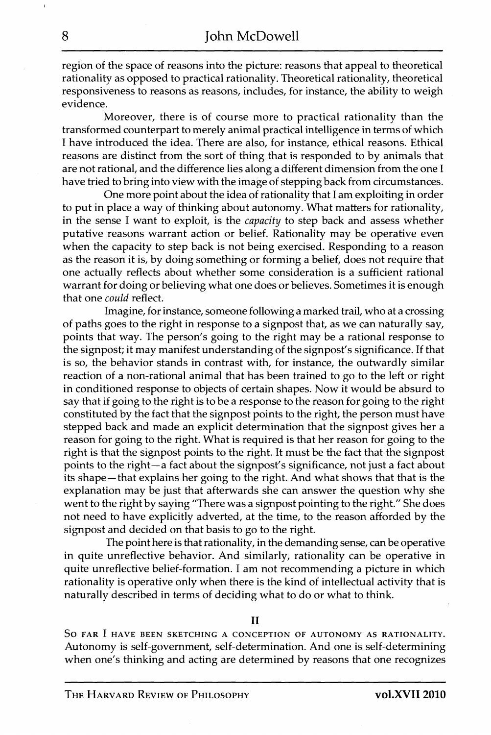region of the space of reasons into the picture: reasons that appeal to theoretical rationality as opposed to practical rationality. Theoretical rationality, theoretical responsiveness to reasons as reasons, includes, for instance, the ability to weigh evidence.

Moreover, there is of course more to practical rationality than the transformed counterpart to merely animal practical intelligence in terms of which I have introduced the idea. There are also, for instance, ethical reasons. Ethical reasons are distinct from the sort of thing that is responded to by animals that are not rational, and the difference lies along a different dimension from the one I have tried to bring into view with the image of stepping back from circumstances.

One more point about the idea of rationality that I am exploiting in order to put in place a way of thinking about autonomy. What matters for rationality, in the sense I want to exploit, is the *capacity* to step back and assess whether putative reasons warrant action or belief. Rationality may be operative even when the capacity to step back is not being exercised. Responding to a reason as the reason it is, by doing something or forming a belief, does not require that one actually reflects about whether some consideration is a sufficient rational warrant for doing or believing what one does or believes. Sometimes it is enough that one *could* reflect.

Imagine, for instance, someone following a marked trail, who at a crossing of paths goes to the right in response to a signpost that, as we can naturally say, points that way. The person's going to the right may be a rational response to the signpost; it may manifest understanding of the signpost's significance. If that is so, the behavior stands in contrast with, for instance, the outwardly similar reaction of a non-rational animal that has been trained to go to the left or right in conditioned response to objects of certain shapes. Now it would be absurd to say that if going to the right is to be a response to the reason for going to the right constituted by the fact that the signpost points to the right, the person must have stepped back and made an explicit determination that the signpost gives her a reason for going to the right. What is required is that her reason for going to the right is that the signpost points to the right. It must be the fact that the signpost points to the right—a fact about the signpost's significance, not just a fact about its shape —that explains her going to the right. And what shows that that is the explanation may be just that afterwards she can answer the question why she went to the right by saying "There was a signpost pointing to the right." She does not need to have explicitly adverted, at the time, to the reason afforded by the signpost and decided on that basis to go to the right.

The point here is that rationality, in the demanding sense, can be operative in quite unreflective behavior. And similarly, rationality can be operative in quite unreflective belief-formation. I am not recommending a picture in which rationality is operative only when there is the kind of intellectual activity that is naturally described in terms of deciding what to do or what to think.

**II** 

So FAR I HAVE BEEN SKETCHING A CONCEPTION OF AUTONOMY AS RATIONALITY. Autonomy is self-government, self-determination. And one is self-determining when one's thinking and acting are determined by reasons that one recognizes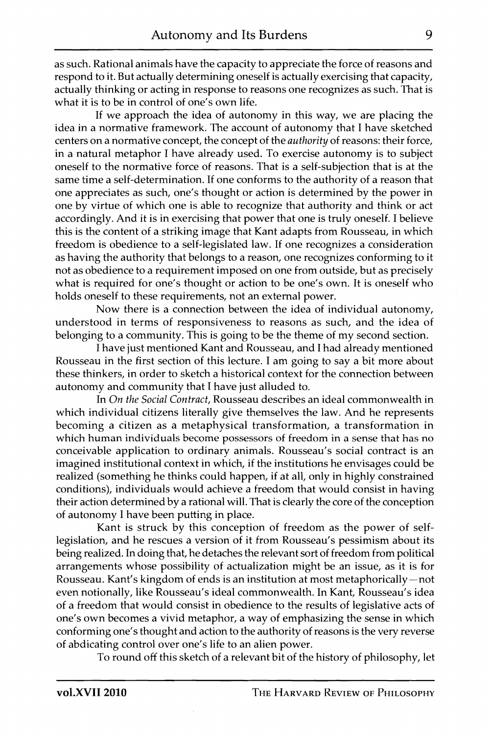as such. Rational animals have the capacity to appreciate the force of reasons and respond to it. But actually determining oneself is actually exercising that capacity, actually thinking or acting in response to reasons one recognizes as such. That is what it is to be in control of one's own life.

If we approach the idea of autonomy in this way, we are placing the idea in a normative framework. The account of autonomy that I have sketched centers on a normative concept, the concept of the *authority* of reasons: their force, in a natural metaphor I have already used. To exercise autonomy is to subject oneself to the normative force of reasons. That is a self-subjection that is at the same time a self-determination. If one conforms to the authority of a reason that one appreciates as such, one's thought or action is determined by the power in one by virtue of which one is able to recognize that authority and think or act accordingly. And it is in exercising that power that one is truly oneself. I believe this is the content of a striking image that Kant adapts from Rousseau, in which freedom is obedience to a self-legislated law. If one recognizes a consideration as having the authority that belongs to a reason, one recognizes conforming to it not as obedience to a requirement imposed on one from outside, but as precisely what is required for one's thought or action to be one's own. It is oneself who holds oneself to these requirements, not an external power.

Now there is a connection between the idea of individual autonomy, understood in terms of responsiveness to reasons as such, and the idea of belonging to a community. This is going to be the theme of my second section.

I have just mentioned Kant and Rousseau, and I had already mentioned Rousseau in the first section of this lecture. I am going to say a bit more about these thinkers, in order to sketch a historical context for the connection between autonomy and community that I have just alluded to.

In *On the Social Contract,* Rousseau describes an ideal commonwealth in which individual citizens literally give themselves the law. And he represents becoming a citizen as a metaphysical transformation, a transformation in which human individuals become possessors of freedom in a sense that has no conceivable application to ordinary animals. Rousseau's social contract is an imagined institutional context in which, if the institutions he envisages could be realized (something he thinks could happen, if at all, only in highly constrained conditions), individuals would achieve a freedom that would consist in having their action determined by a rational will. That is clearly the core of the conception of autonomy I have been putting in place.

Kant is struck by this conception of freedom as the power of selflegislation, and he rescues a version of it from Rousseau's pessimism about its being realized. In doing that, he detaches the relevant sort of freedom from political arrangements whose possibility of actualization might be an issue, as it is for Rousseau. Kant's kingdom of ends is an institution at most metaphorically—not even notionally, like Rousseau's ideal commonwealth. In Kant, Rousseau's idea of a freedom that would consist in obedience to the results of legislative acts of one's own becomes a vivid metaphor, a way of emphasizing the sense in which conforming one's thought and action to the authority of reasons is the very reverse of abdicating control over one's life to an alien power.

To round off this sketch of a relevant bit of the history of philosophy, let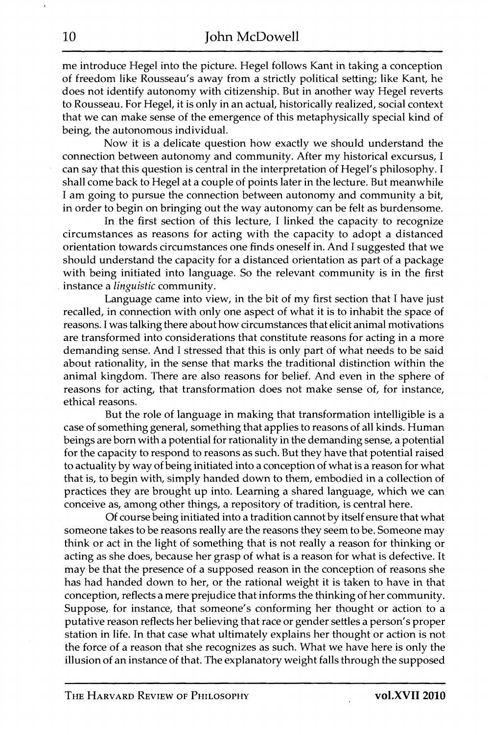me introduce Hegel into the picture. Hegel follows Kant in taking a conception of freedom like Rousseau's away from a strictly political setting; like Kant, he does not identify autonomy with citizenship. But in another way Hegel reverts to Rousseau. For Hegel, it is only in an actual, historically realized, social context that we can make sense of the emergence of this metaphysically special kind of being, the autonomous individual.

Now it is a delicate question how exactly we should understand the connection between autonomy and community. After my historical excursus, I can say that this question is central in the interpretation of Hegel's philosophy. I shall come back to Hegel at a couple of points later in the lecture. But meanwhile I am going to pursue the connection between autonomy and community a bit, in order to begin on bringing out the way autonomy can be felt as burdensome.

In the first section of this lecture, I linked the capacity to recognize circumstances as reasons for acting with the capacity to adopt a distanced orientation towards circumstances one finds oneself in. And I suggested that we should understand the capacity for a distanced orientation as part of a package with being initiated into language. So the relevant community is in the first instance a *linguistic* community.

Language came into view, in the bit of my first section that I have just recalled, in connection with only one aspect of what it is to inhabit the space of reasons. I was talking there about how circumstances that elicit animal motivations are transformed into considerations that constitute reasons for acting in a more demanding sense. And I stressed that this is only part of what needs to be said about rationality, in the sense that marks the traditional distinction within the animal kingdom. There are also reasons for belief. And even in the sphere of reasons for acting, that transformation does not make sense of, for instance, ethical reasons.

But the role of language in making that transformation intelligible is a case of something general, something that applies to reasons of all kinds. Human beings are born with a potential for rationality in the demanding sense, a potential for the capacity to respond to reasons as such. But they have that potential raised to actuality by way of being initiated into a conception of what is a reason for what that is, to begin with, simply handed down to them, embodied in a collection of practices they are brought up into. Learning a shared language, which we can conceive as, among other things, a repository of tradition, is central here.

Of course being initiated into a tradition cannot by itself ensure that what someone takes to be reasons really are the reasons they seem to be. Someone may think or act in the light of something that is not really a reason for thinking or acting as she does, because her grasp of what is a reason for what is defective. It may be that the presence of a supposed reason in the conception of reasons she has had handed down to her, or the rational weight it is taken to have in that conception, reflects a mere prejudice that informs the thinking of her community. Suppose, for instance, that someone's conforming her thought or action to a putative reason reflects her believing that race or gender settles a person's proper station in life. In that case what ultimately explains her thought or action is not the force of a reason that she recognizes as such. What we have here is only the illusion of an instance of that. The explanatory weight falls through the supposed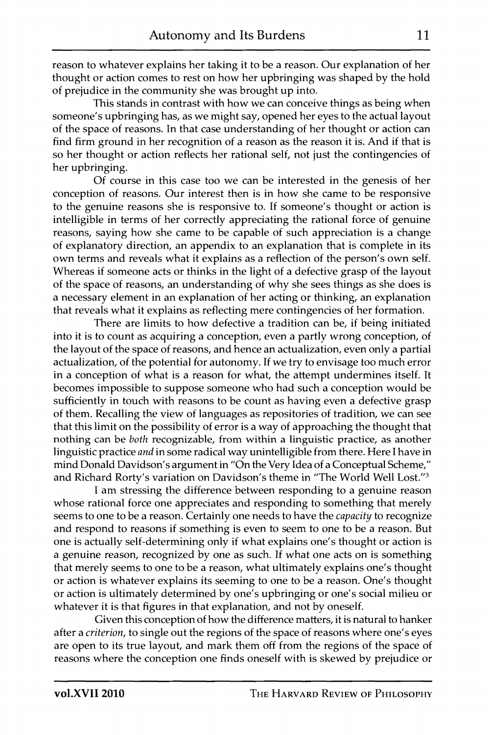reason to whatever explains her taking it to be a reason. Our explanation of her thought or action comes to rest on how her upbringing was shaped by the hold of prejudice in the community she was brought up into.

This stands in contrast with how we can conceive things as being when someone's upbringing has, as we might say, opened her eyes to the actual layout of the space of reasons. In that case understanding of her thought or action can find firm ground in her recognition of a reason as the reason it is. And if that is so her thought or action reflects her rational self, not just the contingencies of her upbringing.

Of course in this case too we can be interested in the genesis of her conception of reasons. Our interest then is in how she came to be responsive to the genuine reasons she is responsive to. If someone's thought or action is intelligible in terms of her correctly appreciating the rational force of genuine reasons, saying how she came to be capable of such appreciation is a change of explanatory direction, an appendix to an explanation that is complete in its own terms and reveals what it explains as a reflection of the person's own self. Whereas if someone acts or thinks in the light of a defective grasp of the layout of the space of reasons, an understanding of why she sees things as she does is a necessary element in an explanation of her acting or thinking, an explanation that reveals what it explains as reflecting mere contingencies of her formation.

There are limits to how defective a tradition can be, if being initiated into it is to count as acquiring a conception, even a partly wrong conception, of the layout of the space of reasons, and hence an actualization, even only a partial actualization, of the potential for autonomy. If we try to envisage too much error in a conception of what is a reason for what, the attempt undermines itself. It becomes impossible to suppose someone who had such a conception would be sufficiently in touch with reasons to be count as having even a defective grasp of them. Recalling the view of languages as repositories of tradition, we can see that this limit on the possibility of error is a way of approaching the thought that nothing can be *both* recognizable, from within a linguistic practice, as another linguistic practice *and* in some radical way unintelligible from there. Here I have in mind Donald Davidson's argument in "On the Very Idea of a Conceptual Scheme," and Richard Rorty's variation on Davidson's theme in "The World Well Lost."<sup>3</sup>

I am stressing the difference between responding to a genuine reason whose rational force one appreciates and responding to something that merely seems to one to be a reason. Certainly one needs to have the *capacity* to recognize and respond to reasons if something is even to seem to one to be a reason. But one is actually self-determining only if what explains one's thought or action is a genuine reason, recognized by one as such. If what one acts on is something that merely seems to one to be a reason, what ultimately explains one's thought or action is whatever explains its seeming to one to be a reason. One's thought or action is ultimately determined by one's upbringing or one's social milieu or whatever it is that figures in that explanation, and not by oneself.

Given this conception of how the difference matters, it is natural to hanker after a *criterion,* to single out the regions of the space of reasons where one's eyes are open to its true layout, and mark them off from the regions of the space of reasons where the conception one finds oneself with is skewed by prejudice or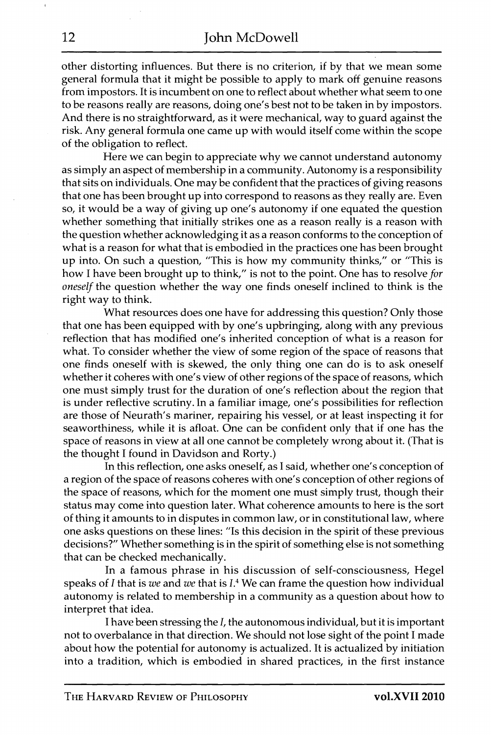other distorting influences. But there is no criterion, if by that we mean some general formula that it might be possible to apply to mark off genuine reasons from impostors. It is incumbent on one to reflect about whether what seem to one to be reasons really are reasons, doing one's best not to be taken in by impostors. And there is no straightforward, as it were mechanical, way to guard against the risk. Any general formula one came up with would itself come within the scope of the obligation to reflect.

Here we can begin to appreciate why we cannot understand autonomy as simply an aspect of membership in a community. Autonomy is a responsibility that sits on individuals. One may be confident that the practices of giving reasons that one has been brought up into correspond to reasons as they really are. Even so, it would be a way of giving up one's autonomy if one equated the question whether something that initially strikes one as a reason really is a reason with the question whether acknowledging it as a reason conforms to the conception of what is a reason for what that is embodied in the practices one has been brought up into. On such a question, "This is how my community thinks," or "This is how I have been brought up to think," is not to the point. One has to resolve *for oneself* the question whether the way one finds oneself inclined to think is the right way to think.

What resources does one have for addressing this question? Only those that one has been equipped with by one's upbringing, along with any previous reflection that has modified one's inherited conception of what is a reason for what. To consider whether the view of some region of the space of reasons that one finds oneself with is skewed, the only thing one can do is to ask oneself whether it coheres with one's view of other regions of the space of reasons, which one must simply trust for the duration of one's reflection about the region that is under reflective scrutiny. In a familiar image, one's possibilities for reflection are those of Neurath's mariner, repairing his vessel, or at least inspecting it for seaworthiness, while it is afloat. One can be confident only that if one has the space of reasons in view at all one cannot be completely wrong about it. (That is the thought I found in Davidson and Rorty.)

In this reflection, one asks oneself, as I said, whether one's conception of a region of the space of reasons coheres with one's conception of other regions of the space of reasons, which for the moment one must simply trust, though their status may come into question later. What coherence amounts to here is the sort of thing it amounts to in disputes in common law, or in constitutional law, where one asks questions on these lines: "Is this decision in the spirit of these previous decisions?" Whether something is in the spirit of something else is not something that can be checked mechanically.

In a famous phrase in his discussion of self-consciousness, Hegel speaks of *I* that is we and we that is *I*.<sup>4</sup> We can frame the question how individual autonomy is related to membership in a community as a question about how to interpret that idea.

I have been stressing the /, the autonomous individual, but it is important not to overbalance in that direction. We should not lose sight of the point I made about how the potential for autonomy is actualized. It is actualized by initiation into a tradition, which is embodied in shared practices, in the first instance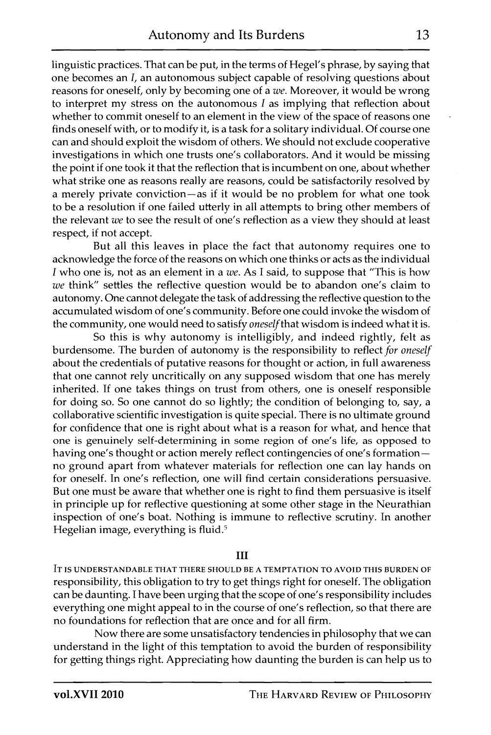linguistic practices. That can be put, in the terms of Hegel's phrase, by saying that one becomes an *I*, an autonomous subject capable of resolving questions about reasons for oneself, only by becoming one of a *we.* Moreover, it would be wrong to interpret my stress on the autonomous  $I$  as implying that reflection about whether to commit oneself to an element in the view of the space of reasons one finds oneself with, or to modify it, is a task for a solitary individual. Of course one can and should exploit the wisdom of others. We should not exclude cooperative investigations in which one trusts one's collaborators. And it would be missing the point if one took it that the reflection that is incumbent on one, about whether what strike one as reasons really are reasons, could be satisfactorily resolved by a merely private conviction—as if it would be no problem for what one took to be a resolution if one failed utterly in all attempts to bring other members of the relevant *we* to see the result of one's reflection as a view they should at least respect, if not accept.

But all this leaves in place the fact that autonomy requires one to acknowledge the force of the reasons on which one thinks or acts as the individual 7 who one is, not as an element in a *we.* As I said, to suppose that "This is how *we* think" settles the reflective question would be to abandon one's claim to autonomy. One cannot delegate the task of addressing the reflective question to the accumulated wisdom of one's community. Before one could invoke the wisdom of the community, one would need to satisfy *oneself that* wisdom is indeed what it is.

So this is why autonomy is intelligibly, and indeed rightly, felt as burdensome. The burden of autonomy is the responsibility to reflect *for oneself*  about the credentials of putative reasons for thought or action, in full awareness that one cannot rely uncritically on any supposed wisdom that one has merely inherited. If one takes things on trust from others, one is oneself responsible for doing so. So one cannot do so lightly; the condition of belonging to, say, a collaborative scientific investigation is quite special. There is no ultimate ground for confidence that one is right about what is a reason for what, and hence that one is genuinely self-determining in some region of one's life, as opposed to having one's thought or action merely reflect contingencies of one's formation no ground apart from whatever materials for reflection one can lay hands on for oneself. In one's reflection, one will find certain considerations persuasive. But one must be aware that whether one is right to find them persuasive is itself in principle up for reflective questioning at some other stage in the Neurathian inspection of one's boat. Nothing is immune to reflective scrutiny. In another Hegelian image, everything is fluid. $5$ 

## **III**

IT IS UNDERSTANDABLE THAT THERE SHOULD BE A TEMPTATION TO AVOID THIS BURDEN OF responsibility, this obligation to try to get things right for oneself. The obligation can be daunting. I have been urging that the scope of one's responsibility includes everything one might appeal to in the course of one's reflection, so that there are no foundations for reflection that are once and for all firm.

Now there are some unsatisfactory tendencies in philosophy that we can understand in the light of this temptation to avoid the burden of responsibility for getting things right. Appreciating how daunting the burden is can help us to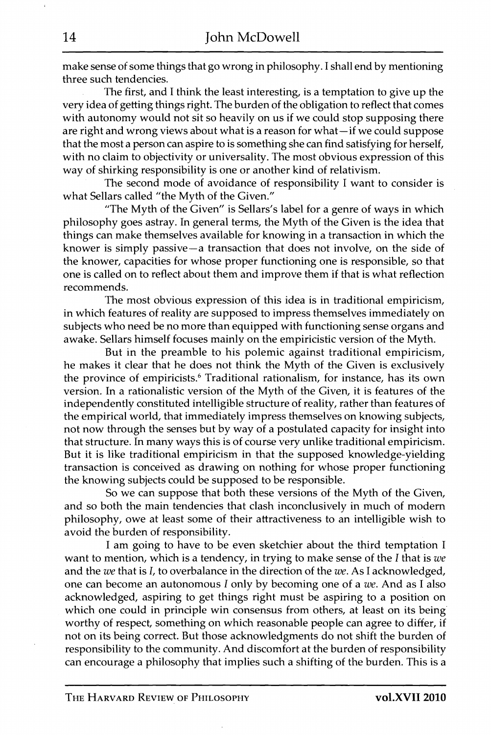make sense of some things that go wrong in philosophy. I shall end by mentioning three such tendencies.

The first, and I think the least interesting, is a temptation to give up the very idea of getting things right. The burden of the obligation to reflect that comes with autonomy would not sit so heavily on us if we could stop supposing there are right and wrong views about what is a reason for what—if we could suppose that the most a person can aspire to is something she can find satisfying for herself, with no claim to objectivity or universality. The most obvious expression of this way of shirking responsibility is one or another kind of relativism.

The second mode of avoidance of responsibility I want to consider is what Sellars called "the Myth of the Given."

"The Myth of the Given" is Sellars's label for a genre of ways in which philosophy goes astray. In general terms, the Myth of the Given is the idea that things can make themselves available for knowing in a transaction in which the knower is simply passive—a transaction that does not involve, on the side of the knower, capacities for whose proper functioning one is responsible, so that one is called on to reflect about them and improve them if that is what reflection recommends.

The most obvious expression of this idea is in traditional empiricism, in which features of reality are supposed to impress themselves immediately on subjects who need be no more than equipped with functioning sense organs and awake. Sellars himself focuses mainly on the empiricistic version of the Myth.

But in the preamble to his polemic against traditional empiricism, he makes it clear that he does not think the Myth of the Given is exclusively the province of empiricists.<sup>6</sup> Traditional rationalism, for instance, has its own version. In a rationalistic version of the Myth of the Given, it is features of the independently constituted intelligible structure of reality, rather than features of the empirical world, that immediately impress themselves on knowing subjects, not now through the senses but by way of a postulated capacity for insight into that structure. In many ways this is of course very unlike traditional empiricism. But it is like traditional empiricism in that the supposed knowledge-yielding transaction is conceived as drawing on nothing for whose proper functioning the knowing subjects could be supposed to be responsible.

So we can suppose that both these versions of the Myth of the Given, and so both the main tendencies that clash inconclusively in much of modem philosophy, owe at least some of their attractiveness to an intelligible wish to avoid the burden of responsibility.

I am going to have to be even sketchier about the third temptation I want to mention, which is a tendency, in trying to make sense of the *I* that is *we*  and the *we* that is J, to overbalance in the direction of the *we.* As I acknowledged, one can become an autonomous *I* only by becoming one of a *we.* And as I also acknowledged, aspiring to get things right must be aspiring to a position on which one could in principle win consensus from others, at least on its being worthy of respect, something on which reasonable people can agree to differ, if not on its being correct. But those acknowledgments do not shift the burden of responsibility to the community. And discomfort at the burden of responsibility can encourage a philosophy that implies such a shifting of the burden. This is a